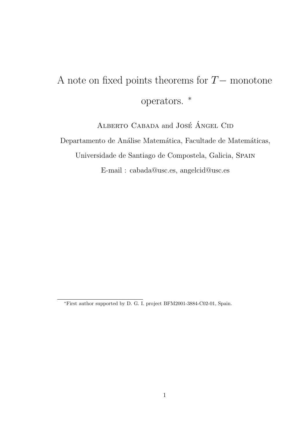# A note on fixed points theorems for  $T-$  monotone operators. <sup>∗</sup>

ALBERTO CABADA and JOSÉ ÁNGEL CID Departamento de Análise Matemática, Facultade de Matemáticas, Universidade de Santiago de Compostela, Galicia, Spain E-mail : cabada@usc.es, angelcid@usc.es

<sup>∗</sup>First author supported by D. G. I. project BFM2001-3884-C02-01, Spain.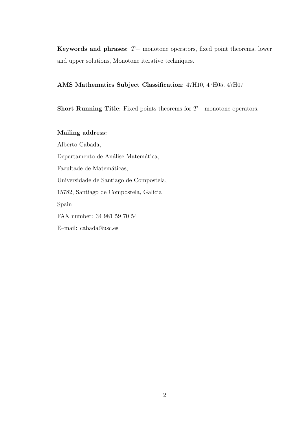Keywords and phrases:  $T-$  monotone operators, fixed point theorems, lower and upper solutions, Monotone iterative techniques.

#### AMS Mathematics Subject Classification: 47H10, 47H05, 47H07

Short Running Title: Fixed points theorems for T− monotone operators.

Mailing address: Alberto Cabada, Departamento de Análise Matemática, Facultade de Matemáticas, Universidade de Santiago de Compostela, 15782, Santiago de Compostela, Galicia Spain FAX number: 34 981 59 70 54 E–mail: cabada@usc.es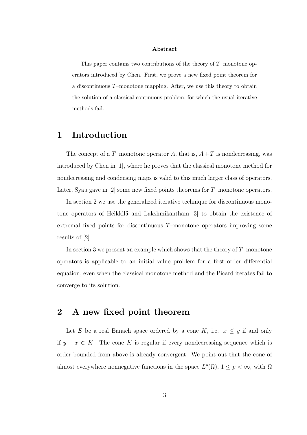#### Abstract

This paper contains two contributions of the theory of  $T$ –monotone operators introduced by Chen. First, we prove a new fixed point theorem for a discontinuous T–monotone mapping. After, we use this theory to obtain the solution of a classical continuous problem, for which the usual iterative methods fail.

## 1 Introduction

The concept of a T-monotone operator A, that is,  $A+T$  is nondecreasing, was introduced by Chen in [1], where he proves that the classical monotone method for nondecreasing and condensing maps is valid to this much larger class of operators. Later, Syau gave in  $[2]$  some new fixed points theorems for  $T$ –monotone operators.

In section 2 we use the generalized iterative technique for discontinuous monotone operators of Heikkilä and Lakshmikantham [3] to obtain the existence of extremal fixed points for discontinuous T–monotone operators improving some results of [2].

In section 3 we present an example which shows that the theory of  $T$ –monotone operators is applicable to an initial value problem for a first order differential equation, even when the classical monotone method and the Picard iterates fail to converge to its solution.

## 2 A new fixed point theorem

Let E be a real Banach space ordered by a cone K, i.e.  $x \leq y$  if and only if  $y - x \in K$ . The cone K is regular if every nondecreasing sequence which is order bounded from above is already convergent. We point out that the cone of almost everywhere nonnegative functions in the space  $L^p(\Omega)$ ,  $1 \leq p < \infty$ , with  $\Omega$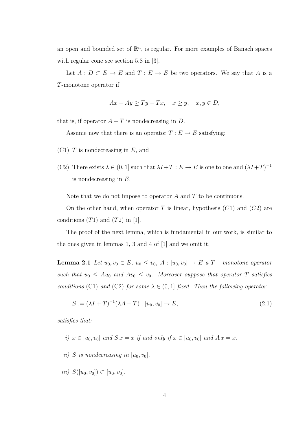an open and bounded set of  $\mathbb{R}^n$ , is regular. For more examples of Banach spaces with regular cone see section 5.8 in [3].

Let  $A: D \subset E \to E$  and  $T: E \to E$  be two operators. We say that A is a T-monotone operator if

$$
Ax - Ay \ge Ty - Tx, \quad x \ge y, \quad x, y \in D,
$$

that is, if operator  $A + T$  is nondecreasing in D.

Assume now that there is an operator  $T : E \to E$  satisfying:

- $(C1)$  T is nondecreasing in E, and
- (C2) There exists  $\lambda \in (0,1]$  such that  $\lambda I + T : E \to E$  is one to one and  $(\lambda I + T)^{-1}$ is nondecreasing in E.

Note that we do not impose to operator  $A$  and  $T$  to be continuous.

On the other hand, when operator T is linear, hypothesis  $(C1)$  and  $(C2)$  are conditions  $(T1)$  and  $(T2)$  in [1].

The proof of the next lemma, which is fundamental in our work, is similar to the ones given in lemmas 1, 3 and 4 of [1] and we omit it.

**Lemma 2.1** Let  $u_0, v_0 \in E$ ,  $u_0 \le v_0$ ,  $A : [u_0, v_0] \to E$  a  $T-$  monotone operator such that  $u_0 \leq Au_0$  and  $Av_0 \leq v_0$ . Moreover suppose that operator T satisfies conditions (C1) and (C2) for some  $\lambda \in (0,1]$  fixed. Then the following operator

$$
S := (\lambda I + T)^{-1} (\lambda A + T) : [u_0, v_0] \to E,
$$
\n(2.1)

satisfies that:

- i)  $x \in [u_0, v_0]$  and  $S x = x$  if and only if  $x \in [u_0, v_0]$  and  $A x = x$ .
- ii) S is nondecreasing in  $[u_0, v_0]$ .
- iii)  $S([u_0, v_0]) \subset [u_0, v_0]$ .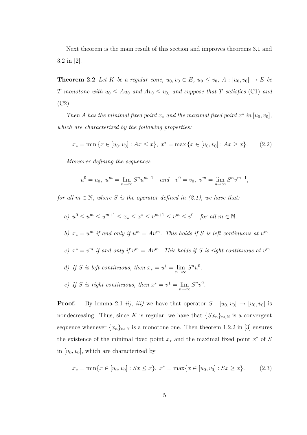Next theorem is the main result of this section and improves theorems 3.1 and 3.2 in [2].

**Theorem 2.2** Let K be a regular cone,  $u_0, v_0 \in E$ ,  $u_0 \leq v_0$ ,  $A : [u_0, v_0] \rightarrow E$  be T-monotone with  $u_0 \leq Au_0$  and  $Av_0 \leq v_0$ , and suppose that T satisfies (C1) and  $(C2)$ .

Then A has the minimal fixed point  $x_*$  and the maximal fixed point  $x^*$  in  $[u_0, v_0]$ , which are characterized by the following properties:

$$
x_* = \min \{ x \in [u_0, v_0] : Ax \le x \}, \ x^* = \max \{ x \in [u_0, v_0] : Ax \ge x \}. \tag{2.2}
$$

Moreover defining the sequences

$$
u^{0} = u_{0}, \ u^{m} = \lim_{n \to \infty} S^{n} u^{m-1} \quad and \quad v^{0} = v_{0}, \ v^{m} = \lim_{n \to \infty} S^{n} v^{m-1},
$$

for all  $m \in \mathbb{N}$ , where S is the operator defined in (2.1), we have that:

- a)  $u^0 \le u^m \le u^{m+1} \le x_* \le x^* \le v^{m+1} \le v^m \le v^0$  for all  $m \in \mathbb{N}$ .
- b)  $x_* = u^m$  if and only if  $u^m = Au^m$ . This holds if S is left continuous at  $u^m$ .
- c)  $x^* = v^m$  if and only if  $v^m = Av^m$ . This holds if S is right continuous at  $v^m$ .
- d) If S is left continuous, then  $x_* = u^1 = \lim_{n \to \infty} S^n u^0$ .
- e) If S is right continuous, then  $x^* = v^1 = \lim_{n \to \infty} S^n v^0$ .

**Proof.** By lemma 2.1 ii), iii) we have that operator  $S : [u_0, v_0] \rightarrow [u_0, v_0]$  is nondecreasing. Thus, since K is regular, we have that  $\{S_{x_n}\}_{n\in\mathbb{N}}$  is a convergent sequence whenever  $\{x_n\}_{n\in\mathbb{N}}$  is a monotone one. Then theorem 1.2.2 in [3] ensures the existence of the minimal fixed point  $x_*$  and the maximal fixed point  $x^*$  of S in  $[u_0, v_0]$ , which are characterized by

$$
x_* = \min\{x \in [u_0, v_0] : Sx \le x\}, \ x^* = \max\{x \in [u_0, v_0] : Sx \ge x\}.
$$
 (2.3)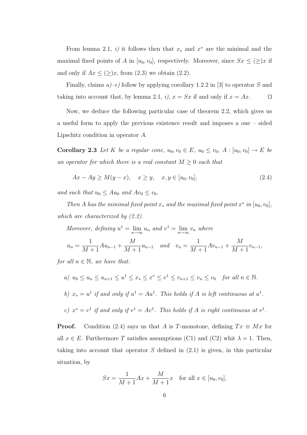From lemma 2.1, i) it follows then that  $x_*$  and  $x^*$  are the minimal and the maximal fixed points of A in  $[u_0, v_0]$ , respectively. Moreover, since  $S_x \leq (\geq)x$  if and only if  $Ax \leq (\geq)x$ , from (2.3) we obtain (2.2).

Finally, claims  $a$ )–e) follow by applying corollary 1.2.2 in [3] to operator S and taking into account that, by lemma 2.1, i),  $x = Sx$  if and only if  $x = Ax$ .

Now, we deduce the following particular case of theorem 2.2, which gives us a useful form to apply the previous existence result and imposes a one – sided Lipschitz condition in operator A.

**Corollary 2.3** Let K be a regular cone,  $u_0, v_0 \in E$ ,  $u_0 \leq v_0$ ,  $A : [u_0, v_0] \to E$  be an operator for which there is a real constant  $M \geq 0$  such that

$$
Ax - Ay \ge M(y - x), \quad x \ge y, \quad x, y \in [u_0, v_0], \tag{2.4}
$$

and such that  $u_0 \leq Au_0$  and  $Av_0 \leq v_0$ .

Then A has the minimal fixed point  $x_*$  and the maximal fixed point  $x^*$  in  $[u_0, v_0]$ , which are characterized by (2.2).

Moreover, defining  $u^1 = \lim_{n \to \infty} u_n$  and  $v^1 = \lim_{n \to \infty} v_n$  where

$$
u_n = \frac{1}{M+1} A u_{n-1} + \frac{M}{M+1} u_{n-1} \quad and \quad v_n = \frac{1}{M+1} A v_{n-1} + \frac{M}{M+1} v_{n-1},
$$

for all  $n \in \mathbb{N}$ , we have that:

- a)  $u_0 \le u_n \le u_{n+1} \le u^1 \le x_* \le x^* \le v^1 \le v_{n+1} \le v_n \le v_0$  for all  $n \in \mathbb{N}$ .
- b)  $x_* = u^1$  if and only if  $u^1 = Au^1$ . This holds if A is left continuous at  $u^1$ .
- c)  $x^* = v^1$  if and only if  $v^1 = Av^1$ . This holds if A is right continuous at  $v^1$ .

**Proof.** Condition (2.4) says us that A is T-monotone, defining  $Tx \equiv Mx$  for all  $x \in E$ . Furthermore T satisfies assumptions (C1) and (C2) whit  $\lambda = 1$ . Then, taking into account that operator  $S$  defined in  $(2.1)$  is given, in this particular situation, by

$$
Sx = \frac{1}{M+1}Ax + \frac{M}{M+1}x
$$
 for all  $x \in [u_0, v_0],$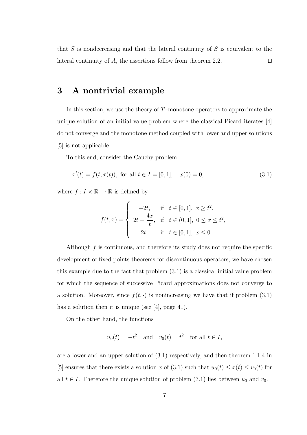that  $S$  is nondecreasing and that the lateral continuity of  $S$  is equivalent to the lateral continuity of A, the assertions follow from theorem 2.2.  $\Box$ 

## 3 A nontrivial example

In this section, we use the theory of  $T$ –monotone operators to approximate the unique solution of an initial value problem where the classical Picard iterates [4] do not converge and the monotone method coupled with lower and upper solutions [5] is not applicable.

To this end, consider the Cauchy problem

$$
x'(t) = f(t, x(t)), \text{ for all } t \in I = [0, 1], \quad x(0) = 0,
$$
\n(3.1)

where  $f: I \times \mathbb{R} \to \mathbb{R}$  is defined by

$$
f(t,x) = \begin{cases} -2t, & \text{if } t \in [0,1], \ x \ge t^2, \\ 2t - \frac{4x}{t}, & \text{if } t \in (0,1], \ 0 \le x \le t^2, \\ 2t, & \text{if } t \in [0,1], \ x \le 0. \end{cases}
$$

Although f is continuous, and therefore its study does not require the specific development of fixed points theorems for discontinuous operators, we have chosen this example due to the fact that problem (3.1) is a classical initial value problem for which the sequence of successive Picard approximations does not converge to a solution. Moreover, since  $f(t, \cdot)$  is nonincreasing we have that if problem  $(3.1)$ has a solution then it is unique (see [4], page 41).

On the other hand, the functions

$$
u_0(t) = -t^2
$$
 and  $v_0(t) = t^2$  for all  $t \in I$ ,

are a lower and an upper solution of (3.1) respectively, and then theorem 1.1.4 in [5] ensures that there exists a solution x of (3.1) such that  $u_0(t) \leq x(t) \leq v_0(t)$  for all  $t \in I$ . Therefore the unique solution of problem (3.1) lies between  $u_0$  and  $v_0$ .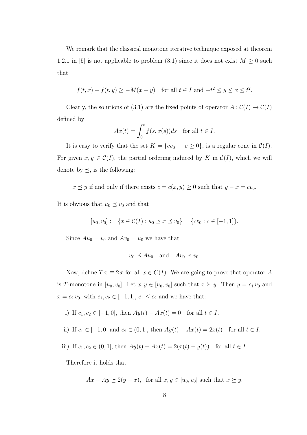We remark that the classical monotone iterative technique exposed at theorem 1.2.1 in [5] is not applicable to problem (3.1) since it does not exist  $M \geq 0$  such that

$$
f(t,x) - f(t,y) \ge -M(x-y) \quad \text{for all } t \in I \text{ and } -t^2 \le y \le x \le t^2.
$$

Clearly, the solutions of (3.1) are the fixed points of operator  $A: \mathcal{C}(I) \to \mathcal{C}(I)$ defined by

$$
Ax(t) = \int_0^t f(s, x(s))ds \text{ for all } t \in I.
$$

It is easy to verify that the set  $K = \{cv_0 : c \ge 0\}$ , is a regular cone in  $C(I)$ . For given  $x, y \in \mathcal{C}(I)$ , the partial ordering induced by K in  $\mathcal{C}(I)$ , which we will denote by  $\preceq$ , is the following:

 $x \preceq y$  if and only if there exists  $c = c(x, y) \geq 0$  such that  $y - x = cv_0$ .

It is obvious that  $u_0 \preceq v_0$  and that

$$
[u_0, v_0] := \{ x \in C(I) : u_0 \preceq x \preceq v_0 \} = \{ cv_0 : c \in [-1, 1] \}.
$$

Since  $Au_0 = v_0$  and  $Av_0 = u_0$  we have that

$$
u_0 \preceq Au_0
$$
 and  $Av_0 \preceq v_0$ .

Now, define  $T x \equiv 2 x$  for all  $x \in C(I)$ . We are going to prove that operator A is T-monotone in  $[u_0, v_0]$ . Let  $x, y \in [u_0, v_0]$  such that  $x \succeq y$ . Then  $y = c_1 v_0$  and  $x = c_2 v_0$ , with  $c_1, c_2 \in [-1, 1]$ ,  $c_1 \le c_2$  and we have that:

i) If 
$$
c_1, c_2 \in [-1, 0]
$$
, then  $Ay(t) - Ax(t) = 0$  for all  $t \in I$ .

ii) If 
$$
c_1 \in [-1, 0]
$$
 and  $c_2 \in (0, 1]$ , then  $Ay(t) - Ax(t) = 2x(t)$  for all  $t \in I$ .

iii) If  $c_1, c_2 \in (0, 1]$ , then  $Ay(t) - Ax(t) = 2(x(t) - y(t))$  for all  $t \in I$ .

Therefore it holds that

 $Ax - Ay \succeq 2(y - x)$ , for all  $x, y \in [u_0, v_0]$  such that  $x \succeq y$ .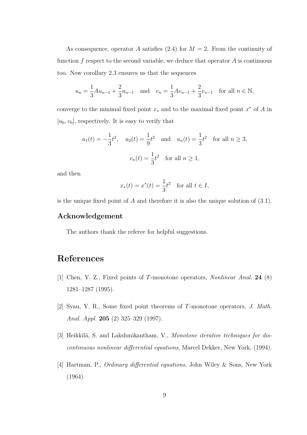As consequence, operator A satisfies (2.4) for  $M = 2$ . From the continuity of function  $f$  respect to the second variable, we deduce that operator  $A$  is continuous too. Now corollary 2.3 ensures us that the sequences

$$
u_n = \frac{1}{3}Au_{n-1} + \frac{2}{3}u_{n-1}
$$
 and  $v_n = \frac{1}{3}Av_{n-1} + \frac{2}{3}v_{n-1}$  for all  $n \in \mathbb{N}$ ,

converge to the minimal fixed point  $x_*$  and to the maximal fixed point  $x^*$  of A in  $[u_0, v_0]$ , respectively. It is easy to verify that

$$
u_1(t) = -\frac{1}{3}t^2
$$
,  $u_2(t) = \frac{1}{9}t^2$  and  $u_n(t) = \frac{1}{3}t^2$  for all  $n \ge 3$ ,  
 $v_n(t) = \frac{1}{3}t^2$  for all  $n \ge 1$ ,

and then

$$
x_*(t) = x^*(t) = \frac{1}{3}t^2
$$
 for all  $t \in I$ ,

is the unique fixed point of  $A$  and therefore it is also the unique solution of  $(3.1)$ .

### Acknowledgement

The authors thank the referee for helpful suggestions.

# References

- [1] Chen, Y. Z., Fixed points of T-monotone operators, Nonlinear Anal. 24 (8) 1281–1287 (1995).
- [2] Syau, Y. R., Some fixed point theorems of T-monotone operators, J. Math. Anal. Appl. 205 (2) 325–329 (1997).
- [3] Heikkilä, S. and Lakshmikantham, V., Monotone iterative techniques for discontinuous nonlinear differential equations, Marcel Dekker, New York, (1994).
- [4] Hartman, P., Ordinary differential equations, John Wiley & Sons, New York (1964).